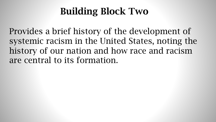## Building Block Two

Provides a brief history of the development of systemic racism in the United States, noting the history of our nation and how race and racism are central to its formation.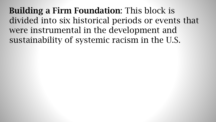Building a Firm Foundation: This block is divided into six historical periods or events that were instrumental in the development and sustainability of systemic racism in the U.S.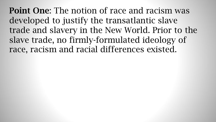Point One: The notion of race and racism was developed to justify the transatlantic slave trade and slavery in the New World. Prior to the slave trade, no firmly-formulated ideology of race, racism and racial differences existed.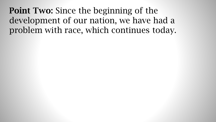Point Two: Since the beginning of the development of our nation, we have had a problem with race, which continues today.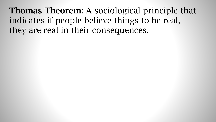Thomas Theorem: A sociological principle that indicates if people believe things to be real, they are real in their consequences.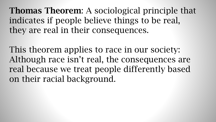Thomas Theorem: A sociological principle that indicates if people believe things to be real, they are real in their consequences.

This theorem applies to race in our society: Although race isn't real, the consequences are real because we treat people differently based on their racial background.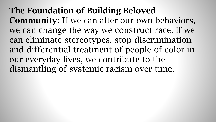The Foundation of Building Beloved Community: If we can alter our own behaviors, we can change the way we construct race. If we can eliminate stereotypes, stop discrimination and differential treatment of people of color in our everyday lives, we contribute to the dismantling of systemic racism over time.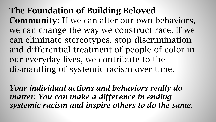The Foundation of Building Beloved Community: If we can alter our own behaviors, we can change the way we construct race. If we can eliminate stereotypes, stop discrimination and differential treatment of people of color in our everyday lives, we contribute to the dismantling of systemic racism over time.

*Your individual actions and behaviors really do matter. You can make a difference in ending systemic racism and inspire others to do the same.*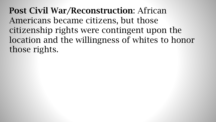Post Civil War/Reconstruction: African Americans became citizens, but those citizenship rights were contingent upon the location and the willingness of whites to honor those rights.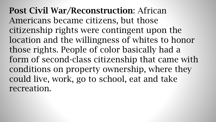Post Civil War/Reconstruction: African Americans became citizens, but those citizenship rights were contingent upon the location and the willingness of whites to honor those rights. People of color basically had a form of second-class citizenship that came with conditions on property ownership, where they could live, work, go to school, eat and take recreation.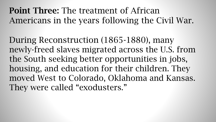## Point Three: The treatment of African Americans in the years following the Civil War.

During Reconstruction (1865-1880), many newly-freed slaves migrated across the U.S. from the South seeking better opportunities in jobs, housing, and education for their children. They moved West to Colorado, Oklahoma and Kansas. They were called "exodusters."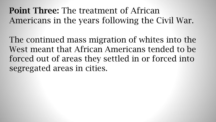Point Three: The treatment of African Americans in the years following the Civil War.

The continued mass migration of whites into the West meant that African Americans tended to be forced out of areas they settled in or forced into segregated areas in cities.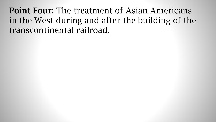Point Four: The treatment of Asian Americans in the West during and after the building of the transcontinental railroad.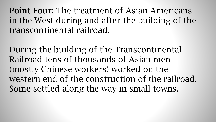Point Four: The treatment of Asian Americans in the West during and after the building of the transcontinental railroad.

During the building of the Transcontinental Railroad tens of thousands of Asian men (mostly Chinese workers) worked on the western end of the construction of the railroad. Some settled along the way in small towns.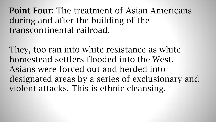Point Four: The treatment of Asian Americans during and after the building of the transcontinental railroad.

They, too ran into white resistance as white homestead settlers flooded into the West. Asians were forced out and herded into designated areas by a series of exclusionary and violent attacks. This is ethnic cleansing.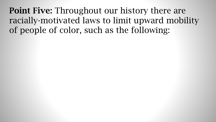Point Five: Throughout our history there are racially-motivated laws to limit upward mobility of people of color, such as the following: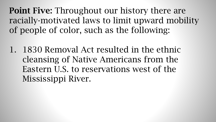Point Five: Throughout our history there are racially-motivated laws to limit upward mobility of people of color, such as the following:

1. 1830 Removal Act resulted in the ethnic cleansing of Native Americans from the Eastern U.S. to reservations west of the Mississippi River.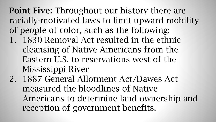Point Five: Throughout our history there are racially-motivated laws to limit upward mobility of people of color, such as the following:

- 1. 1830 Removal Act resulted in the ethnic cleansing of Native Americans from the Eastern U.S. to reservations west of the Mississippi River
- 2. 1887 General Allotment Act/Dawes Act measured the bloodlines of Native Americans to determine land ownership and reception of government benefits.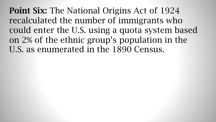Point Six: The National Origins Act of 1924 recalculated the number of immigrants who could enter the U.S. using a quota system based on 2% of the ethnic group's population in the U.S. as enumerated in the 1890 Census.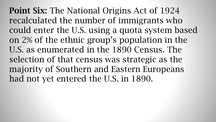Point Six: The National Origins Act of 1924 recalculated the number of immigrants who could enter the U.S. using a quota system based on 2% of the ethnic group's population in the U.S. as enumerated in the 1890 Census. The selection of that census was strategic as the majority of Southern and Eastern Europeans had not yet entered the U.S. in 1890.